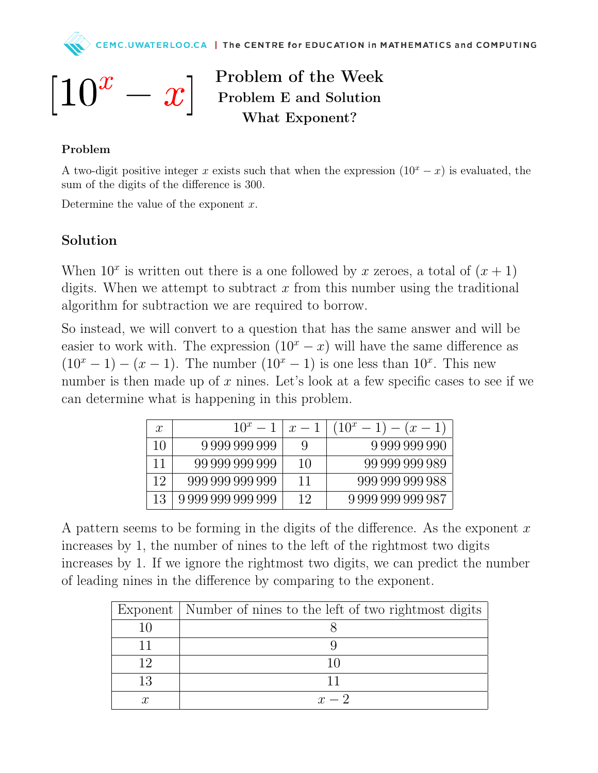

Problem of the Week Problem E and Solution What Exponent?

## Problem

A two-digit positive integer x exists such that when the expression  $(10<sup>x</sup> - x)$  is evaluated, the sum of the digits of the difference is 300.

Determine the value of the exponent  $x$ .

## Solution

When  $10^x$  is written out there is a one followed by x zeroes, a total of  $(x + 1)$ digits. When we attempt to subtract  $x$  from this number using the traditional algorithm for subtraction we are required to borrow.

So instead, we will convert to a question that has the same answer and will be easier to work with. The expression  $(10<sup>x</sup> - x)$  will have the same difference as  $(10<sup>x</sup> - 1) - (x - 1)$ . The number  $(10<sup>x</sup> - 1)$  is one less than  $10<sup>x</sup>$ . This new number is then made up of x nines. Let's look at a few specific cases to see if we can determine what is happening in this problem.

| $\mathcal{X}$ | $10^x - 1$        | $x-1$ | $(10^x - 1) - (x - 1)$ |
|---------------|-------------------|-------|------------------------|
| 10            | 9 999 999 999     | 9     | 9999999990             |
| 11            | 99 999 999 999    | 10    | 99 999 999 989         |
| 19            | 999 999 999 999   | 11    | 999 999 999 988        |
| 13            | 9 999 999 999 999 | 19    | 999999999987           |

A pattern seems to be forming in the digits of the difference. As the exponent  $x$ increases by 1, the number of nines to the left of the rightmost two digits increases by 1. If we ignore the rightmost two digits, we can predict the number of leading nines in the difference by comparing to the exponent.

|     | Exponent   Number of nines to the left of two rightmost digits |
|-----|----------------------------------------------------------------|
|     |                                                                |
|     |                                                                |
| י ו | 10                                                             |
|     |                                                                |
|     | $x-2$                                                          |